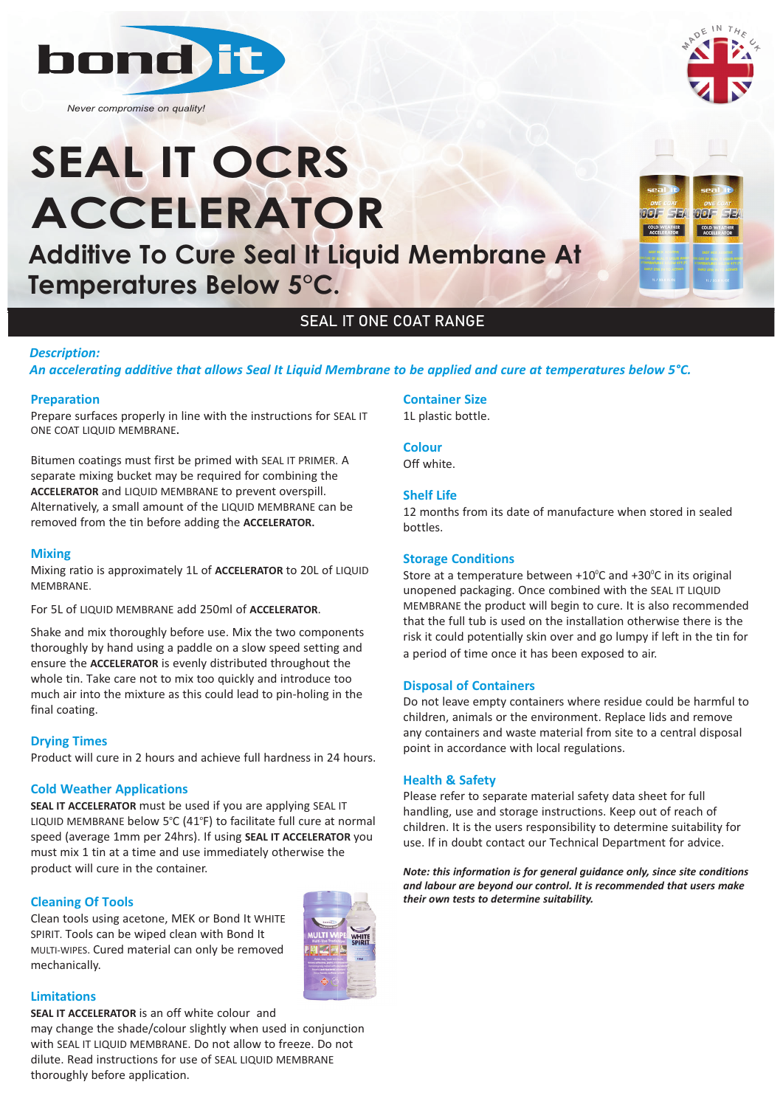

*Never compromise on quality!*

# **SEAL IT OCRS ACCELERATOR**

**Additive To Cure Seal It Liquid Membrane At Temperatures Below 5°C.**

# SEAL IT ONE COAT RANGE

#### *Description:*

*An accelerating additive that allows Seal It Liquid Membrane to be applied and cure at temperatures below 5°C.* 

#### **Preparation**

Prepare surfaces properly in line with the instructions for SEAL IT ONE COAT LIQUID MEMBRANE**.**

Bitumen coatings must first be primed with SEAL IT PRIMER. A separate mixing bucket may be required for combining the **ACCELERATOR** and LIQUID MEMBRANE to prevent overspill. Alternatively, a small amount of the LIQUID MEMBRANE can be removed from the tin before adding the **ACCELERATOR.**

#### **Mixing**

Mixing ratio is approximately 1L of **ACCELERATOR** to 20L of LIQUID MEMBRANE.

For 5L of LIQUID MEMBRANE add 250ml of **ACCELERATOR**.

Shake and mix thoroughly before use. Mix the two components thoroughly by hand using a paddle on a slow speed setting and ensure the **ACCELERATOR** is evenly distributed throughout the whole tin. Take care not to mix too quickly and introduce too much air into the mixture as this could lead to pin-holing in the final coating.

#### **Drying Times**

Product will cure in 2 hours and achieve full hardness in 24 hours.

#### **Cold Weather Applications**

**SEAL IT ACCELERATOR** must be used if you are applying SEAL IT LIQUID MEMBRANE below 5°C (41°F) to facilitate full cure at normal speed (average 1mm per 24hrs). If using **SEAL IT ACCELERATOR** you must mix 1 tin at a time and use immediately otherwise the product will cure in the container.

#### **Cleaning Of Tools**

Clean tools using acetone, MEK or Bond It WHITE SPIRIT. Tools can be wiped clean with Bond It MULTI-WIPES. Cured material can only be removed mechanically.



#### **Limitations**

**SEAL IT ACCELERATOR** is an off white colour and may change the shade/colour slightly when used in conjunction with SEAL IT LIQUID MEMBRANE. Do not allow to freeze. Do not dilute. Read instructions for use of SEAL LIQUID MEMBRANE thoroughly before application.

**Container Size** 1L plastic bottle.

#### **Colour**

Off white.

### **Shelf Life**

12 months from its date of manufacture when stored in sealed bottles.

#### **Storage Conditions**

Store at a temperature between  $+10^{\circ}$ C and  $+30^{\circ}$ C in its original unopened packaging. Once combined with the SEAL IT LIQUID MEMBRANE the product will begin to cure. It is also recommended that the full tub is used on the installation otherwise there is the risk it could potentially skin over and go lumpy if left in the tin for a period of time once it has been exposed to air.

#### **Disposal of Containers**

Do not leave empty containers where residue could be harmful to children, animals or the environment. Replace lids and remove any containers and waste material from site to a central disposal point in accordance with local regulations.

#### **Health & Safety**

Please refer to separate material safety data sheet for full handling, use and storage instructions. Keep out of reach of children. It is the users responsibility to determine suitability for use. If in doubt contact our Technical Department for advice.

*Note: this information is for general guidance only, since site conditions and labour are beyond our control. It is recommended that users make their own tests to determine suitability.*